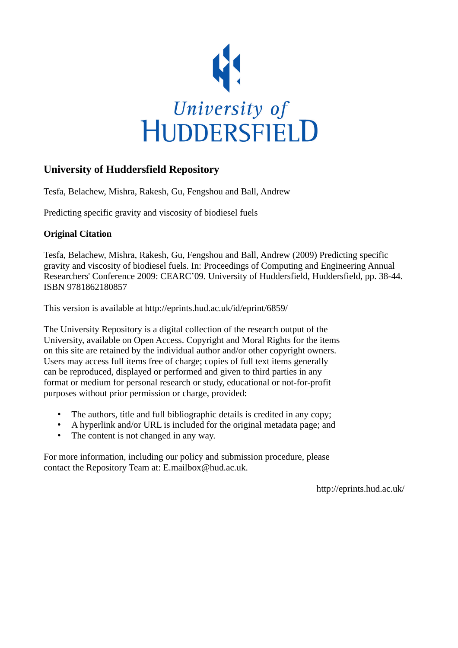

# **University of Huddersfield Repository**

Tesfa, Belachew, Mishra, Rakesh, Gu, Fengshou and Ball, Andrew

Predicting specific gravity and viscosity of biodiesel fuels

## **Original Citation**

Tesfa, Belachew, Mishra, Rakesh, Gu, Fengshou and Ball, Andrew (2009) Predicting specific gravity and viscosity of biodiesel fuels. In: Proceedings of Computing and Engineering Annual Researchers' Conference 2009: CEARC'09. University of Huddersfield, Huddersfield, pp. 38-44. ISBN 9781862180857

This version is available at http://eprints.hud.ac.uk/id/eprint/6859/

The University Repository is a digital collection of the research output of the University, available on Open Access. Copyright and Moral Rights for the items on this site are retained by the individual author and/or other copyright owners. Users may access full items free of charge; copies of full text items generally can be reproduced, displayed or performed and given to third parties in any format or medium for personal research or study, educational or not-for-profit purposes without prior permission or charge, provided:

- The authors, title and full bibliographic details is credited in any copy;
- A hyperlink and/or URL is included for the original metadata page; and
- The content is not changed in any way.

For more information, including our policy and submission procedure, please contact the Repository Team at: E.mailbox@hud.ac.uk.

http://eprints.hud.ac.uk/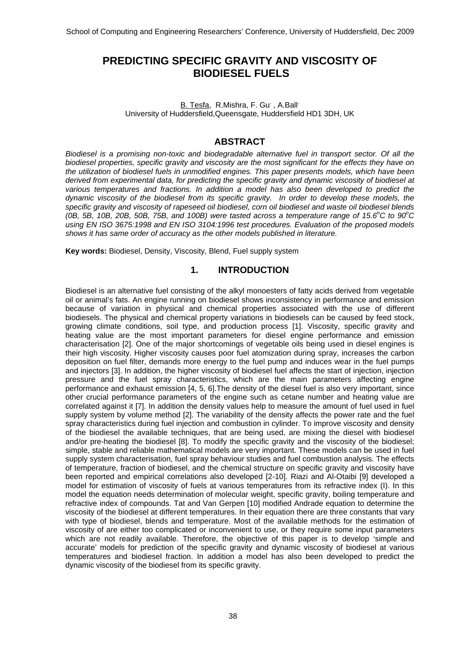## **PREDICTING SPECIFIC GRAVITY AND VISCOSITY OF BIODIESEL FUELS**

B. Tesfa, R.Mishra, F. Gu', A.Ball' University of Huddersfield,Queensgate, Huddersfield HD1 3DH, UK

### **ABSTRACT**

*Biodiesel is a promising non-toxic and biodegradable alternative fuel in transport sector. Of all the biodiesel properties, specific gravity and viscosity are the most significant for the effects they have on the utilization of biodiesel fuels in unmodified engines. This paper presents models, which have been derived from experimental data, for predicting the specific gravity and dynamic viscosity of biodiesel at various temperatures and fractions. In addition a model has also been developed to predict the dynamic viscosity of the biodiesel from its specific gravity. In order to develop these models, the specific gravity and viscosity of rapeseed oil biodiesel, corn oil biodiesel and waste oil biodiesel blends*   $(0B, 5B, 10B, 20B, 50B, 75B,$  and 100B) were tasted across a temperature range of 15.6<sup>°</sup>C to 90<sup>°</sup>C *using EN ISO 3675:1998 and EN ISO 3104:1996 test procedures. Evaluation of the proposed models shows it has same order of accuracy as the other models published in literature.* 

**Key words:** Biodiesel, Density, Viscosity, Blend, Fuel supply system

### **1. INTRODUCTION**

Biodiesel is an alternative fuel consisting of the alkyl monoesters of fatty acids derived from vegetable oil or animal's fats. An engine running on biodiesel shows inconsistency in performance and emission because of variation in physical and chemical properties associated with the use of different biodiesels. The physical and chemical property variations in biodiesels can be caused by feed stock, growing climate conditions, soil type, and production process [1]. Viscosity, specific gravity and heating value are the most important parameters for diesel engine performance and emission characterisation [2]. One of the major shortcomings of vegetable oils being used in diesel engines is their high viscosity. Higher viscosity causes poor fuel atomization during spray, increases the carbon deposition on fuel filter, demands more energy to the fuel pump and induces wear in the fuel pumps and injectors [3]. In addition, the higher viscosity of biodiesel fuel affects the start of injection, injection pressure and the fuel spray characteristics, which are the main parameters affecting engine performance and exhaust emission [4, 5, 6].The density of the diesel fuel is also very important, since other crucial performance parameters of the engine such as cetane number and heating value are correlated against it [7]. In addition the density values help to measure the amount of fuel used in fuel supply system by volume method [2]. The variability of the density affects the power rate and the fuel spray characteristics during fuel injection and combustion in cylinder. To improve viscosity and density of the biodiesel the available techniques, that are being used, are mixing the diesel with biodiesel and/or pre-heating the biodiesel [8]. To modify the specific gravity and the viscosity of the biodiesel; simple, stable and reliable mathematical models are very important. These models can be used in fuel supply system characterisation, fuel spray behaviour studies and fuel combustion analysis. The effects of temperature, fraction of biodiesel, and the chemical structure on specific gravity and viscosity have been reported and empirical correlations also developed [2-10]. Riazi and Al-Otaibi [9] developed a model for estimation of viscosity of fuels at various temperatures from its refractive index (I). In this model the equation needs determination of molecular weight, specific gravity, boiling temperature and refractive index of compounds. Tat and Van Gerpen [10] modified Andrade equation to determine the viscosity of the biodiesel at different temperatures. In their equation there are three constants that vary with type of biodiesel, blends and temperature. Most of the available methods for the estimation of viscosity of are either too complicated or inconvenient to use, or they require some input parameters which are not readily available. Therefore, the objective of this paper is to develop 'simple and accurate' models for prediction of the specific gravity and dynamic viscosity of biodiesel at various temperatures and biodiesel fraction. In addition a model has also been developed to predict the dynamic viscosity of the biodiesel from its specific gravity.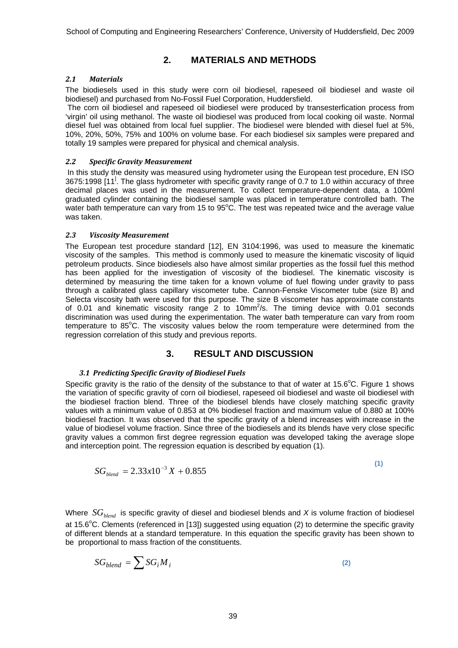## **2. MATERIALS AND METHODS**

#### *2.1 Materials*

The biodiesels used in this study were corn oil biodiesel, rapeseed oil biodiesel and waste oil biodiesel) and purchased from No-Fossil Fuel Corporation, Huddersfield.

 The corn oil biodiesel and rapeseed oil biodiesel were produced by transesterfication process from 'virgin' oil using methanol. The waste oil biodiesel was produced from local cooking oil waste. Normal diesel fuel was obtained from local fuel supplier. The biodiesel were blended with diesel fuel at 5%, 10%, 20%, 50%, 75% and 100% on volume base. For each biodiesel six samples were prepared and totally 19 samples were prepared for physical and chemical analysis.

#### *2.2 Specific Gravity Measurement*

 In this study the density was measured using hydrometer using the European test procedure, EN ISO 3675:1998 [11<sup>]</sup>. The glass hydrometer with specific gravity range of 0.7 to 1.0 within accuracy of three decimal places was used in the measurement. To collect temperature-dependent data, a 100ml graduated cylinder containing the biodiesel sample was placed in temperature controlled bath. The water bath temperature can vary from 15 to 95 $^{\circ}$ C. The test was repeated twice and the average value was taken.

#### *2.3 Viscosity Measurement*

The European test procedure standard [12], EN 3104:1996, was used to measure the kinematic viscosity of the samples. This method is commonly used to measure the kinematic viscosity of liquid petroleum products. Since biodiesels also have almost similar properties as the fossil fuel this method has been applied for the investigation of viscosity of the biodiesel. The kinematic viscosity is determined by measuring the time taken for a known volume of fuel flowing under gravity to pass through a calibrated glass capillary viscometer tube. Cannon-Fenske Viscometer tube (size B) and Selecta viscosity bath were used for this purpose. The size B viscometer has approximate constants of 0.01 and kinematic viscosity range  $2$  to 10mm<sup>2</sup>/s. The timing device with 0.01 seconds discrimination was used during the experimentation. The water bath temperature can vary from room temperature to 85°C. The viscosity values below the room temperature were determined from the regression correlation of this study and previous reports.

## **3. RESULT AND DISCUSSION**

#### *3.1 Predicting Specific Gravity of Biodiesel Fuels*

Specific gravity is the ratio of the density of the substance to that of water at  $15.6^{\circ}$ C. Figure 1 shows the variation of specific gravity of corn oil biodiesel, rapeseed oil biodiesel and waste oil biodiesel with the biodiesel fraction blend. Three of the biodiesel blends have closely matching specific gravity values with a minimum value of 0.853 at 0% biodiesel fraction and maximum value of 0.880 at 100% biodiesel fraction. It was observed that the specific gravity of a blend increases with increase in the value of biodiesel volume fraction. Since three of the biodiesels and its blends have very close specific gravity values a common first degree regression equation was developed taking the average slope and interception point. The regression equation is described by equation (1).

$$
SG_{\text{blend}} = 2.33x10^{-3} X + 0.855
$$

**(1)** 

Where  $SG_{\textit{blend}}$  is specific gravity of diesel and biodiesel blends and X is volume fraction of biodiesel at 15.6 $^{\circ}$ C. Clements (referenced in [13]) suggested using equation (2) to determine the specific gravity of different blends at a standard temperature. In this equation the specific gravity has been shown to be proportional to mass fraction of the constituents.

$$
SG_{blend} = \sum SG_i M_i \tag{2}
$$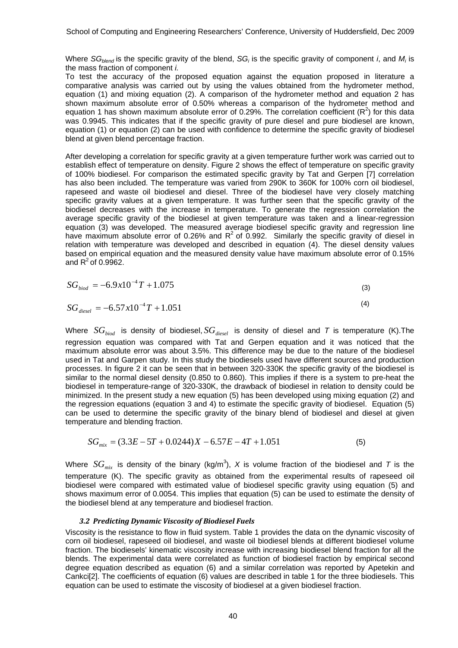Where *SG<sub>blend</sub>* is the specific gravity of the blend, *SG<sub>i</sub>* is the specific gravity of component *i*, and *M<sub>i</sub>* is the mass fraction of component *i.*

To test the accuracy of the proposed equation against the equation proposed in literature a comparative analysis was carried out by using the values obtained from the hydrometer method, equation (1) and mixing equation (2). A comparison of the hydrometer method and equation 2 has shown maximum absolute error of 0.50% whereas a comparison of the hydrometer method and equation 1 has shown maximum absolute error of 0.29%. The correlation coefficient ( $R^2$ ) for this data was 0.9945. This indicates that if the specific gravity of pure diesel and pure biodiesel are known, equation (1) or equation (2) can be used with confidence to determine the specific gravity of biodiesel blend at given blend percentage fraction.

After developing a correlation for specific gravity at a given temperature further work was carried out to establish effect of temperature on density. Figure 2 shows the effect of temperature on specific gravity of 100% biodiesel. For comparison the estimated specific gravity by Tat and Gerpen [7] correlation has also been included. The temperature was varied from 290K to 360K for 100% corn oil biodiesel, rapeseed and waste oil biodiesel and diesel. Three of the biodiesel have very closely matching specific gravity values at a given temperature. It was further seen that the specific gravity of the biodiesel decreases with the increase in temperature. To generate the regression correlation the average specific gravity of the biodiesel at given temperature was taken and a linear-regression equation (3) was developed. The measured average biodiesel specific gravity and regression line have maximum absolute error of 0.26% and  $R^2$  of 0.992. Similarly the specific gravity of diesel in relation with temperature was developed and described in equation (4). The diesel density values based on empirical equation and the measured density value have maximum absolute error of 0.15% and  $R^2$  of 0.9962.

$$
SG_{biod} = -6.9 \times 10^{-4} T + 1.075
$$
\n(3)

$$
SG_{\text{diesel}} = -6.57 \, x 10^{-4} T + 1.051 \tag{4}
$$

Where  $SG_{biod}$  is density of biodiesel,  $SG_{diesel}$  is density of diesel and *T* is temperature (K).The regression equation was compared with Tat and Gerpen equation and it was noticed that the maximum absolute error was about 3.5%. This difference may be due to the nature of the biodiesel used in Tat and Garpen study. In this study the biodiesels used have different sources and production processes. In figure 2 it can be seen that in between 320-330K the specific gravity of the biodiesel is similar to the normal diesel density (0.850 to 0.860). This implies if there is a system to pre-heat the biodiesel in temperature-range of 320-330K, the drawback of biodiesel in relation to density could be minimized. In the present study a new equation (5) has been developed using mixing equation (2) and the regression equations (equation 3 and 4) to estimate the specific gravity of biodiesel. Equation (5) can be used to determine the specific gravity of the binary blend of biodiesel and diesel at given temperature and blending fraction.

$$
SG_{mix} = (3.3E - 5T + 0.0244)X - 6.57E - 4T + 1.051
$$
\n(5)

Where  $SG_{mix}$  is density of the binary (kg/m<sup>3</sup>), X is volume fraction of the biodiesel and *T* is the temperature (K). The specific gravity as obtained from the experimental results of rapeseed oil biodiesel were compared with estimated value of biodiesel specific gravity using equation (5) and shows maximum error of 0.0054. This implies that equation (5) can be used to estimate the density of the biodiesel blend at any temperature and biodiesel fraction.

#### *3.2 Predicting Dynamic Viscosity of Biodiesel Fuels*

Viscosity is the resistance to flow in fluid system. Table 1 provides the data on the dynamic viscosity of corn oil biodiesel, rapeseed oil biodiesel, and waste oil biodiesel blends at different biodiesel volume fraction. The biodiesels' kinematic viscosity increase with increasing biodiesel blend fraction for all the blends. The experimental data were correlated as function of biodiesel fraction by empirical second degree equation described as equation (6) and a similar correlation was reported by Apetekin and Cankci[2]. The coefficients of equation (6) values are described in table 1 for the three biodiesels. This equation can be used to estimate the viscosity of biodiesel at a given biodiesel fraction.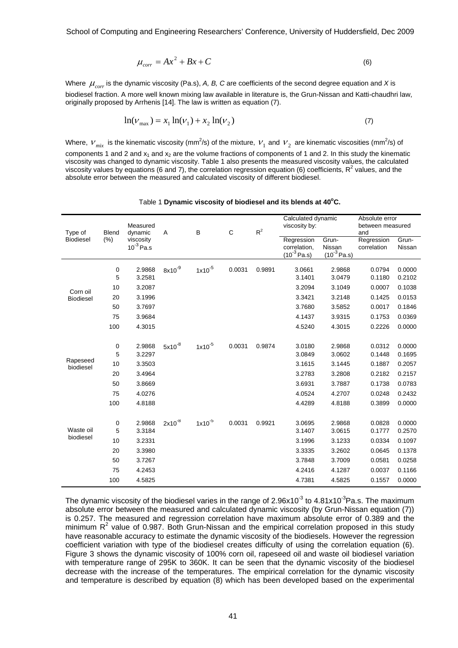School of Computing and Engineering Researchers' Conference, University of Huddersfield, Dec 2009

$$
\mu_{corr} = Ax^2 + Bx + C \tag{6}
$$

Where  $\mu_{corr}$  is the dynamic viscosity (Pa.s), A, B, C are coefficients of the second degree equation and X is biodiesel fraction. A more well known mixing law available in literature is, the Grun-Nissan and Katti-chaudhri law, originally proposed by Arrhenis [14]. The law is written as equation (7).

$$
\ln(\nu_{\text{max}}) = x_1 \ln(\nu_1) + x_2 \ln(\nu_2) \tag{7}
$$

Where,  $v_{mix}$  is the kinematic viscosity (mm<sup>2</sup>/s) of the mixture,  $v_1$  and  $v_2$  are kinematic viscosities (mm<sup>2</sup>/s) of components 1 and 2 and  $x_1$  and  $x_2$  are the volume fractions of components of 1 and 2. In this study the kinematic viscosity was changed to dynamic viscosity. Table 1 also presents the measured viscosity values, the calculated viscosity values by equations (6 and 7), the correlation regression equation (6) coefficients,  $R^2$  values, and the absolute error between the measured and calculated viscosity of different biodiesel.

| Type of<br><b>Biodiesel</b>  | <b>Blend</b><br>(%) | Measured<br>dynamic<br>viscosity | A           | B           | C      | $R^2$  | Calculated dynamic<br>viscosity by: |        | Absolute error<br>between measured<br>and |        |
|------------------------------|---------------------|----------------------------------|-------------|-------------|--------|--------|-------------------------------------|--------|-------------------------------------------|--------|
|                              |                     |                                  |             |             |        |        |                                     |        |                                           |        |
|                              |                     |                                  |             |             |        |        |                                     |        | $10^{-3}$ Pa.s                            |        |
|                              |                     |                                  |             |             |        |        |                                     |        |                                           |        |
| Corn oil<br><b>Biodiesel</b> | 0                   | 2.9868                           | $8x10^{-9}$ | $1x10^{-5}$ | 0.0031 | 0.9891 | 3.0661                              | 2.9868 | 0.0794                                    | 0.0000 |
|                              | 5                   | 3.2581                           |             |             |        |        | 3.1401                              | 3.0479 | 0.1180                                    | 0.2102 |
|                              | 10                  | 3.2087                           |             |             |        |        | 3.2094                              | 3.1049 | 0.0007                                    | 0.1038 |
|                              | 20                  | 3.1996                           |             |             |        |        | 3.3421                              | 3.2148 | 0.1425                                    | 0.0153 |
|                              | 50                  | 3.7697                           |             |             |        |        | 3.7680                              | 3.5852 | 0.0017                                    | 0.1846 |
|                              | 75                  | 3.9684                           |             |             |        |        | 4.1437                              | 3.9315 | 0.1753                                    | 0.0369 |
|                              | 100                 | 4.3015                           |             |             |        |        | 4.5240                              | 4.3015 | 0.2226                                    | 0.0000 |
|                              |                     |                                  |             |             |        |        |                                     |        |                                           |        |
| Rapeseed<br>biodiesel        | 0                   | 2.9868                           | $5x10^{-8}$ | $1x10^{-5}$ | 0.0031 | 0.9874 | 3.0180                              | 2.9868 | 0.0312                                    | 0.0000 |
|                              | 5                   | 3.2297                           |             |             |        |        | 3.0849                              | 3.0602 | 0.1448                                    | 0.1695 |
|                              | 10                  | 3.3503                           |             |             |        |        | 3.1615                              | 3.1445 | 0.1887                                    | 0.2057 |
|                              | 20                  | 3.4964                           |             |             |        |        | 3.2783                              | 3.2808 | 0.2182                                    | 0.2157 |
|                              | 50                  | 3.8669                           |             |             |        |        | 3.6931                              | 3.7887 | 0.1738                                    | 0.0783 |
|                              | 75                  | 4.0276                           |             |             |        |        | 4.0524                              | 4.2707 | 0.0248                                    | 0.2432 |
|                              | 100                 | 4.8188                           |             |             |        |        | 4.4289                              | 4.8188 | 0.3899                                    | 0.0000 |
|                              |                     |                                  |             |             |        |        |                                     |        |                                           |        |
| Waste oil<br>biodiesel       | 0                   | 2.9868                           | $2x10^{-8}$ | $1x10^{-5}$ | 0.0031 | 0.9921 | 3.0695                              | 2.9868 | 0.0828                                    | 0.0000 |
|                              | 5                   | 3.3184                           |             |             |        |        | 3.1407                              | 3.0615 | 0.1777                                    | 0.2570 |
|                              | 10                  | 3.2331                           |             |             |        |        | 3.1996                              | 3.1233 | 0.0334                                    | 0.1097 |
|                              | 20                  | 3.3980                           |             |             |        |        | 3.3335                              | 3.2602 | 0.0645                                    | 0.1378 |
|                              | 50                  | 3.7267                           |             |             |        |        | 3.7848                              | 3.7009 | 0.0581                                    | 0.0258 |
|                              | 75                  | 4.2453                           |             |             |        |        | 4.2416                              | 4.1287 | 0.0037                                    | 0.1166 |
|                              | 100                 | 4.5825                           |             |             |        |        | 4.7381                              | 4.5825 | 0.1557                                    | 0.0000 |
|                              |                     |                                  |             |             |        |        |                                     |        |                                           |        |

Table 1 Dynamic viscosity of biodiesel and its blends at 40°C.

The dynamic viscosity of the biodiesel varies in the range of  $2.96x10^{-3}$  to  $4.81x10^{-3}$ Pa.s. The maximum absolute error between the measured and calculated dynamic viscosity (by Grun-Nissan equation (7)) is 0.257. The measured and regression correlation have maximum absolute error of 0.389 and the minimum  $R<sup>2</sup>$  value of 0.987. Both Grun-Nissan and the empirical correlation proposed in this study have reasonable accuracy to estimate the dynamic viscosity of the biodiesels. However the regression coefficient variation with type of the biodiesel creates difficulty of using the correlation equation (6). Figure 3 shows the dynamic viscosity of 100% corn oil, rapeseed oil and waste oil biodiesel variation with temperature range of 295K to 360K. It can be seen that the dynamic viscosity of the biodiesel decrease with the increase of the temperatures. The empirical correlation for the dynamic viscosity and temperature is described by equation (8) which has been developed based on the experimental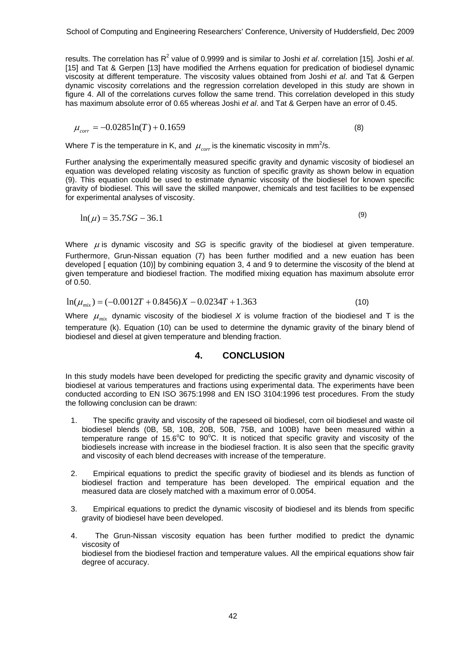results. The correlation has R<sup>2</sup> value of 0.9999 and is similar to Joshi *et al*. correlation [15]. Joshi *et al.* [15] and Tat & Gerpen [13] have modified the Arrhens equation for predication of biodiesel dynamic viscosity at different temperature. The viscosity values obtained from Joshi *et al*. and Tat & Gerpen dynamic viscosity correlations and the regression correlation developed in this study are shown in figure 4. All of the correlations curves follow the same trend. This correlation developed in this study has maximum absolute error of 0.65 whereas Joshi *et al*. and Tat & Gerpen have an error of 0.45.

$$
\mu_{corr} = -0.0285 \ln(T) + 0.1659\tag{8}
$$

Where T is the temperature in K, and  $\mu_{\scriptscriptstyle corr}$  is the kinematic viscosity in mm<sup>2</sup>/s.

Further analysing the experimentally measured specific gravity and dynamic viscosity of biodiesel an equation was developed relating viscosity as function of specific gravity as shown below in equation (9). This equation could be used to estimate dynamic viscosity of the biodiesel for known specific gravity of biodiesel. This will save the skilled manpower, chemicals and test facilities to be expensed for experimental analyses of viscosity.

$$
\ln(\mu) = 35.7SG - 36.1\tag{9}
$$

Where  $\mu$  is dynamic viscosity and *SG* is specific gravity of the biodiesel at given temperature. Furthermore, Grun-Nissan equation (7) has been further modified and a new euation has been developed [ equation (10)] by combining equation 3, 4 and 9 to determine the viscosity of the blend at given temperature and biodiesel fraction. The modified mixing equation has maximum absolute error of 0.50.

$$
\ln(\mu_{mix}) = (-0.0012T + 0.8456)X - 0.0234T + 1.363
$$
\n(10)

Where  $\mu_{mix}$  dynamic viscosity of the biodiesel X is volume fraction of the biodiesel and T is the temperature (k). Equation (10) can be used to determine the dynamic gravity of the binary blend of biodiesel and diesel at given temperature and blending fraction.

#### **4. CONCLUSION**

In this study models have been developed for predicting the specific gravity and dynamic viscosity of biodiesel at various temperatures and fractions using experimental data. The experiments have been conducted according to EN ISO 3675:1998 and EN ISO 3104:1996 test procedures. From the study the following conclusion can be drawn:

- 1. The specific gravity and viscosity of the rapeseed oil biodiesel, corn oil biodiesel and waste oil biodiesel blends (0B, 5B, 10B, 20B, 50B, 75B, and 100B) have been measured within a temperature range of 15.6 $\degree$ C to 90 $\degree$ C. It is noticed that specific gravity and viscosity of the biodiesels increase with increase in the biodiesel fraction. It is also seen that the specific gravity and viscosity of each blend decreases with increase of the temperature.
- 2. Empirical equations to predict the specific gravity of biodiesel and its blends as function of biodiesel fraction and temperature has been developed. The empirical equation and the measured data are closely matched with a maximum error of 0.0054.
- 3. Empirical equations to predict the dynamic viscosity of biodiesel and its blends from specific gravity of biodiesel have been developed.
- 4. The Grun-Nissan viscosity equation has been further modified to predict the dynamic viscosity of biodiesel from the biodiesel fraction and temperature values. All the empirical equations show fair degree of accuracy.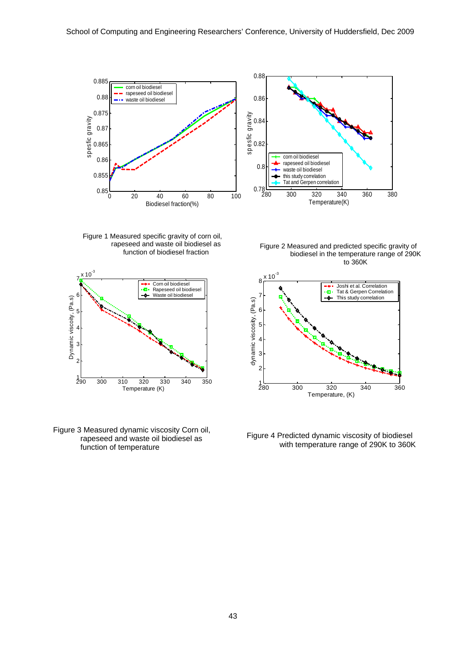

280 300 320 340 360 380  $0.78 - 0.780$ 0.8 spesfic gravity<br>0.82<br>0.82 0.84 0.86 0.88 Temperature(K) spesfic gravity corn oil biodiesel rapeseed oil biodiesel waste oil biodiesel this study correlation Tat and Gerpen correlation

Figure 1 Measured specific gravity of corn oil, rapeseed and waste oil biodiesel as function of biodiesel fraction



Figure 3 Measured dynamic viscosity Corn oil,<br>rapeseed and waste oil biodiesel as Figure 4 Predicted dynamic viscosity of biodiesel function of temperature with temperature range of 290K to 360K

Figure 2 Measured and predicted specific gravity of biodiesel in the temperature range of 290K to 360K